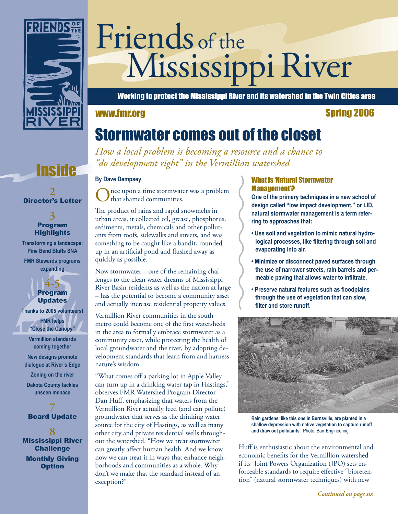

# Friends of the Mississippi River

Working to protect the Mississippi River and its watershed in the Twin Cities area

#### www.fmr.org Spring 2006

### Stormwater comes out of the closet

*How a local problem is becoming a resource and a chance to "do development right" in the Vermillion watershed* 

nce upon a time stormwater was a problem that shamed communities.

The product of rains and rapid snowmelts in urban areas, it collected oil, grease, phosphorus, sediments, metals, chemicals and other pollutants from roofs, sidewalks and streets, and was something to be caught like a bandit, rounded up in an artificial pond and flushed away as quickly as possible.

Now stormwater – one of the remaining challenges to the clean water dreams of Mississippi River Basin residents as well as the nation at large – has the potential to become a community asset and actually increase residential property values.

Vermillion River communities in the south metro could become one of the first watersheds in the area to formally embrace stormwater as a community asset, while protecting the health of local groundwater and the river, by adopting development standards that learn from and harness nature's wisdom.

"What comes off a parking lot in Apple Valley can turn up in a drinking water tap in Hastings," observes FMR Watershed Program Director Dan Huff, emphasizing that waters from the Vermillion River actually feed (and can pollute) groundwater that serves as the drinking water source for the city of Hastings, as well as many other city and private residential wells throughout the watershed. "How we treat stormwater can greatly affect human health. And we know now we can treat it in ways that enhance neighborhoods and communities as a whole. Why don't we make that the standard instead of an exception?"

#### What Is 'Natural Stormwater Management'?

**One of the primary techniques in a new school of design called "low impact development," or LID, natural stormwater management is a term referring to approaches that:**

- **Use soil and vegetation to mimic natural hydrological processes, like filtering through soil and evaporating into air.**
- **Minimize or disconnect paved surfaces through the use of narrower streets, rain barrels and permeable paving that allows water to infiltrate.**
- **Preserve natural features such as floodplains through the use of vegetation that can slow, filter and store runoff.**



**Rain gardens, like this one in Burnsville, are planted in a shallow depression with native vegetation to capture runoff and draw out pollutants.** Photo: Barr Engineering

Huff is enthusiastic about the environmental and economic benefits for the Vermillion watershed if its Joint Powers Organization (JPO) sets enforceable standards to require effective "bioretention" (natural stormwater techniques) with new

#### *Continued on page six*

## **Inside** *By Dave Dempsey*

**2** Director's Letter

#### **3** Program **Highlights**

**Transforming a landscape: Pine Bend Bluffs SNA FMR Stewards programs** 

**expanding**

**4-5** Program **Updates Thanks to 2005 volunteers! FMR helps** 

> **"Close the Canopy" Vermillion standards coming together**

**New designs promote dialogue at River's Edge**

**Zoning on the river Dakota County tackles** 

**unseen menace 7**

Board Update

**8** Mississippi River **Challenge** Monthly Giving **Option**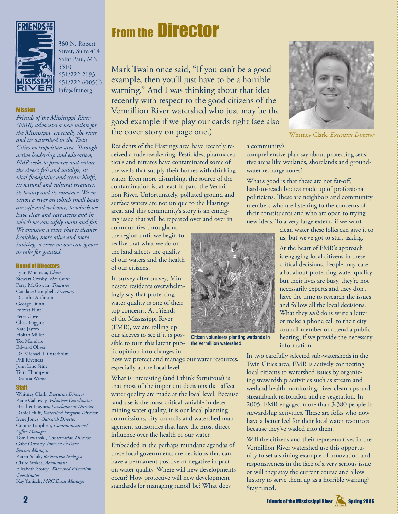

360 N. Robert Street, Suite 414 Saint Paul, MN 55101 651/222-2193 651/222-6005(f) info@fmr.org

#### **Mission**

*Friends of the Mississippi River (FMR) advocates a new vision for the Mississippi, especially the river and its watershed in the Twin Cities metropolitan area. Th rough active leadership and education, FMR seeks to preserve and restore the river's fi sh and wildlife, its vital floodplains and scenic bluffs, its natural and cultural treasures, its beauty and its romance. We envision a river on which small boats are safe and welcome, to which we have clear and easy access and in which we can safely swim and fish. We envision a river that is cleaner, healthier, more alive and more inviting, a river no one can ignore or take for granted.*

#### Board of Directors

Lynn Moratzka, *Chair* Stewart Crosby, *Vice Chair* Perry McGowan, *Treasurer* Candace Campbell, *Secretary* Dr. John Anfinson George Dunn Forrest Flint Peter Gove Chris Higgins Kate Jaycox Hokan Miller Ted Mondale Edward Oliver Dr. Michael T. Osterholm Phil Riveness John Linc Stine Terra Thompson Deanna Wiener

#### **Staff**

Whitney Clark, *Executive Director* Katie Galloway, *Volunteer Coordinator* Heather Haynes, *Development Director* Daniel Huff, Watershed Program Director Irene Jones, *Outreach Director* Connie Lanphear, *Communications/ Office Manager* Tom Lewanski, *Conservation Director* Gabe Ormsby, *Internet & Data Systems Manager* Karen Schik, *Restoration Ecologist* Claire Stokes, *Accountant* Elizabeth Storey, *Watershed Education Coordinator* Kay Yanisch, *MRC Event Manager*

### **From the Director**

Mark Twain once said, "If you can't be a good example, then you'll just have to be a horrible warning." And I was thinking about that idea recently with respect to the good citizens of the Vermillion River watershed who just may be the good example if we play our cards right (see also the cover story on page one.)

Residents of the Hastings area have recently received a rude awakening. Pesticides, pharmaceuticals and nitrates have contaminated some of the wells that supply their homes with drinking water. Even more disturbing, the source of the contamination is, at least in part, the Vermillion River. Unfortunately, polluted ground and surface waters are not unique to the Hastings area, and this community's story is an emerging issue that will be repeated over and over in

communities throughout the region until we begin to realize that what we do on the land affects the quality of our waters and the health of our citizens.

In survey after survey, Minnesota residents overwhelmingly say that protecting water quality is one of their top concerns. At Friends of the Mississippi River (FMR), we are rolling up our sleeves to see if it is possible to turn this latent public opinion into changes in

how we protect and manage our water resources, especially at the local level.

What is interesting (and I think fortuitous) is that most of the important decisions that affect water quality are made at the local level. Because land use is the most critical variable in determining water quality, it is our local planning commissions, city councils and watershed management authorities that have the most direct influence over the health of our water.

Embedded in the perhaps mundane agendas of these local governments are decisions that can have a permanent positive or negative impact on water quality. Where will new developments occur? How protective will new development standards for managing runoff be? What does



Whitney Clark, *Executive Director* 

#### a community's

comprehensive plan say about protecting sensitive areas like wetlands, shorelands and groundwater recharge zones?

What's good is that these are not far-off, hard-to-reach bodies made up of professional politicians. These are neighbors and community members who are listening to the concerns of their constituents and who are open to trying new ideas. To a very large extent, if we want

> clean water these folks can give it to us, but we've got to start asking.

At the heart of FMR's approach is engaging local citizens in these critical decisions. People may care a lot about protecting water quality but their lives are busy, they're not necessarily experts and they don't have the time to research the issues and follow all the local decisions. What they *will* do is write a letter or make a phone call to their city council member or attend a public hearing, if we provide the necessary information.

**Citizen volunteers planting wetlands in the Vermillion watershed.**

In two carefully selected sub-watersheds in the Twin Cities area, FMR is actively connecting local citizens to watershed issues by organizing stewardship activities such as stream and wetland health monitoring, river clean-ups and streambank restoration and re-vegetation. In 2005, FMR engaged more than 3,380 people in stewardship activities. These are folks who now have a better feel for their local water resources because they've waded into them!

Will the citizens and their representatives in the Vermillion River watershed use this opportunity to set a shining example of innovation and responsiveness in the face of a very serious issue or will they stay the current course and allow history to serve them up as a horrible warning? Stay tuned.

2 Friends of the Mississippi River Spring 2006 of the Mississippi River Spring 2006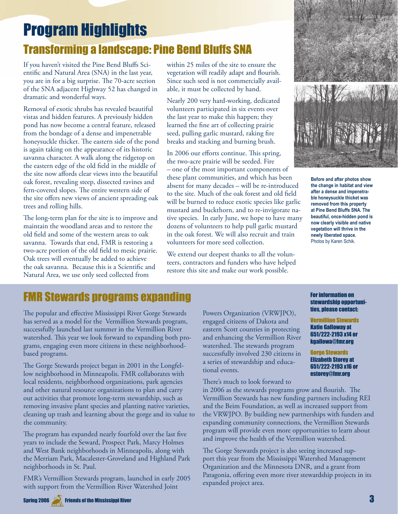### Program Highlights Transforming a landscape: Pine Bend Bluffs SNA

If you haven't visited the Pine Bend Bluffs Scientific and Natural Area (SNA) in the last year, you are in for a big surprise. The 70-acre section of the SNA adjacent Highway 52 has changed in dramatic and wonderful ways.

Removal of exotic shrubs has revealed beautiful vistas and hidden features. A previously hidden pond has now become a central feature, released from the bondage of a dense and impenetrable honeysuckle thicket. The eastern side of the pond is again taking on the appearance of its historic savanna character. A walk along the ridgetop on the eastern edge of the old field in the middle of the site now affords clear views into the beautiful oak forest, revealing steep, dissected ravines and fern-covered slopes. The entire western side of the site offers new views of ancient spreading oak trees and rolling hills.

The long-term plan for the site is to improve and maintain the woodland areas and to restore the old field and some of the western areas to oak savanna. Towards that end, FMR is restoring a two-acre portion of the old field to mesic prairie. Oak trees will eventually be added to achieve the oak savanna. Because this is a Scientific and Natural Area, we use only seed collected from

within 25 miles of the site to ensure the vegetation will readily adapt and flourish. Since such seed is not commercially available, it must be collected by hand.

Nearly 200 very hard-working, dedicated volunteers participated in six events over the last year to make this happen; they learned the fine art of collecting prairie seed, pulling garlic mustard, raking fire breaks and stacking and burning brush.

In 2006 our efforts continue. This spring, the two-acre prairie will be seeded. Fire – one of the most important components of these plant communities, and which has been absent for many decades – will be re-introduced to the site. Much of the oak forest and old field will be burned to reduce exotic species like garlic mustard and buckthorn, and to re-invigorate native species. In early June, we hope to have many dozens of volunteers to help pull garlic mustard in the oak forest. We will also recruit and train volunteers for more seed collection.

We extend our deepest thanks to all the volunteers, contractors and funders who have helped restore this site and make our work possible.



**Before and after photos show the change in habitat and view after a dense and impenetrable honeysuckle thicket was removed from this property at Pine Bend Bluffs SNA. The beautiful, once-hidden pond is now clearly visible and native vegetation will thrive in the newly liberated space.** Photos by Karen Schik.

### FMR Stewards programs expanding

The popular and effective Mississippi River Gorge Stewards has served as a model for the Vermillion Stewards program, successfully launched last summer in the Vermillion River watershed. This year we look forward to expanding both programs, engaging even more citizens in these neighborhoodbased programs.

The Gorge Stewards project began in 2001 in the Longfellow neighborhood in Minneapolis. FMR collaborates with local residents, neighborhood organizations, park agencies and other natural resource organizations to plan and carry out activities that promote long-term stewardship, such as removing invasive plant species and planting native varieties, cleaning up trash and learning about the gorge and its value to the community.

The program has expanded nearly fourfold over the last five years to include the Seward, Prospect Park, Marcy Holmes and West Bank neighborhoods in Minneapolis, along with the Merriam Park, Macalester-Groveland and Highland Park neighborhoods in St. Paul.

FMR's Vermillion Stewards program, launched in early 2005 with support from the Vermillion River Watershed Joint

Powers Organization (VRWJPO), engaged citizens of Dakota and eastern Scott counties in protecting and enhancing the Vermillion River watershed. The stewards program successfully involved 230 citizens in a series of stewardship and educational events.

There's much to look forward to

in 2006 as the stewards programs grow and flourish. The Vermillion Stewards has new funding partners including REI and the Beim Foundation, as well as increased support from the VRWJPO. By building new partnerships with funders and expanding community connections, the Vermillion Stewards program will provide even more opportunities to learn about and improve the health of the Vermillion watershed.

The Gorge Stewards project is also seeing increased support this year from the Mississippi Watershed Management Organization and the Minnesota DNR, and a grant from Patagonia, offering even more river stewardship projects in its expanded project area.

#### For information on stewardship opportunities, please contact:

Vermillion Stewards Katie Galloway at 651/222-2193 x14 or kgallowa@fmr.org

Gorge Stewards Elizabeth Storey at 651/222-2193 x16 or estorey@fmr.org

Spring 2006  $\sqrt{3}$  Friends of the Mississippi River  $3$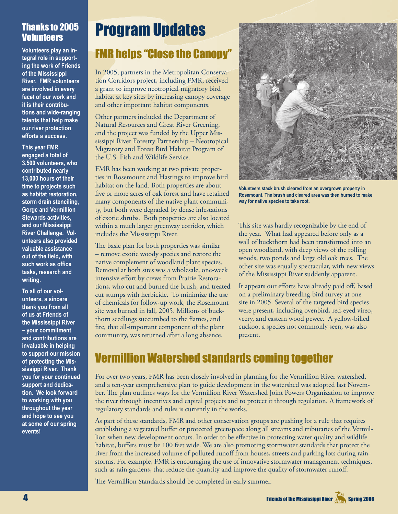#### Thanks to 2005 **Volunteers**

**Volunteers play an integral role in supporting the work of Friends of the Mississippi River. FMR volunteers are involved in every facet of our work and it is their contributions and wide-ranging talents that help make our river protection efforts a success.** 

**This year FMR engaged a total of 3,500 volunteers, who contributed nearly 13,000 hours of their time to projects such as habitat restoration, storm drain stenciling, Gorge and Vermillion Stewards activities, and our Mississippi River Challenge. Volunteers also provided valuable assistance out of the field, with such work as office tasks, research and writing.** 

**To all of our volunteers, a sincere thank you from all of us at Friends of the Mississippi River – your commitment and contributions are invaluable in helping to support our mission of protecting the Mississippi River. Thank you for your continued support and dedication. We look forward to working with you throughout the year and hope to see you at some of our spring events!**

### Program Updates

### FMR helps "Close the Canopy"

In 2005, partners in the Metropolitan Conservation Corridors project, including FMR, received a grant to improve neotropical migratory bird habitat at key sites by increasing canopy coverage and other important habitat components.

Other partners included the Department of Natural Resources and Great River Greening, and the project was funded by the Upper Mississippi River Forestry Partnership – Neotropical Migratory and Forest Bird Habitat Program of the U.S. Fish and Wildlife Service.

FMR has been working at two private properties in Rosemount and Hastings to improve bird habitat on the land. Both properties are about five or more acres of oak forest and have retained many components of the native plant community, but both were degraded by dense infestations of exotic shrubs. Both properties are also located within a much larger greenway corridor, which includes the Mississippi River.

The basic plan for both properties was similar – remove exotic woody species and restore the native complement of woodland plant species. Removal at both sites was a wholesale, one-week intensive effort by crews from Prairie Restorations, who cut and burned the brush, and treated cut stumps with herbicide. To minimize the use of chemicals for follow-up work, the Rosemount site was burned in fall, 2005. Millions of buckthorn seedlings succumbed to the flames, and fire, that all-important component of the plant community, was returned after a long absence.



**Volunteers stack brush cleared from an overgrown property in Rosemount. The brush and cleared area was then burned to make way for native species to take root.**

This site was hardly recognizable by the end of the year. What had appeared before only as a wall of buckthorn had been transformed into an open woodland, with deep views of the rolling woods, two ponds and large old oak trees. The other site was equally spectacular, with new views of the Mississippi River suddenly apparent.

It appears our efforts have already paid off, based on a preliminary breeding-bird survey at one site in 2005. Several of the targeted bird species were present, including ovenbird, red-eyed vireo, veery, and eastern wood pewee. A yellow-billed cuckoo, a species not commonly seen, was also present.

### Vermillion Watershed standards coming together

For over two years, FMR has been closely involved in planning for the Vermillion River watershed, and a ten-year comprehensive plan to guide development in the watershed was adopted last November. The plan outlines ways for the Vermillion River Watershed Joint Powers Organization to improve the river through incentives and capital projects and to protect it through regulation. A framework of regulatory standards and rules is currently in the works.

As part of these standards, FMR and other conservation groups are pushing for a rule that requires establishing a vegetated buffer or protected greenspace along all streams and tributaries of the Vermillion when new development occurs. In order to be effective in protecting water quality and wildlife habitat, buffers must be 100 feet wide. We are also promoting stormwater standards that protect the river from the increased volume of polluted runoff from houses, streets and parking lots during rainstorms. For example, FMR is encouraging the use of innovative stormwater management techniques, such as rain gardens, that reduce the quantity and improve the quality of stormwater runoff.

The Vermillion Standards should be completed in early summer.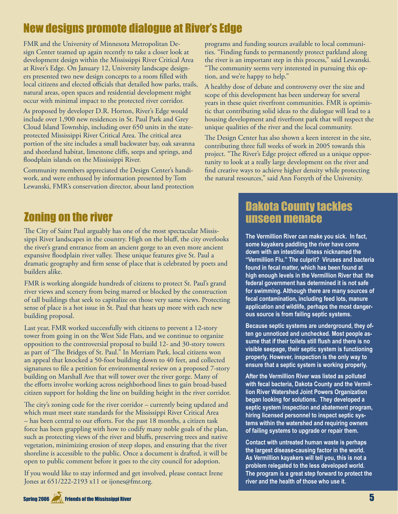### New designs promote dialogue at River's Edge

FMR and the University of Minnesota Metropolitan Design Center teamed up again recently to take a closer look at development design within the Mississippi River Critical Area at River's Edge. On January 12, University landscape designers presented two new design concepts to a room filled with local citizens and elected officials that detailed how parks, trails, natural areas, open spaces and residential development might occur with minimal impact to the protected river corridor.

As proposed by developer D.R. Horton, River's Edge would include over 1,900 new residences in St. Paul Park and Grey Cloud Island Township, including over 650 units in the stateprotected Mississippi River Critical Area. The critical area portion of the site includes a small backwater bay, oak savanna and shoreland habitat, limestone cliffs, seeps and springs, and floodplain islands on the Mississippi River.

Community members appreciated the Design Center's handiwork, and were enthused by information presented by Tom Lewanski, FMR's conservation director, about land protection

### Zoning on the river

The City of Saint Paul arguably has one of the most spectacular Mississippi River landscapes in the country. High on the bluff, the city overlooks the river's grand entrance from an ancient gorge to an even more ancient expansive floodplain river valley. These unique features give St. Paul a dramatic geography and firm sense of place that is celebrated by poets and builders alike.

FMR is working alongside hundreds of citizens to protect St. Paul's grand river views and scenery from being marred or blocked by the construction of tall buildings that seek to capitalize on those very same views. Protecting sense of place is a hot issue in St. Paul that heats up more with each new building proposal.

Last year, FMR worked successfully with citizens to prevent a 12-story tower from going in on the West Side Flats, and we continue to organize opposition to the controversial proposal to build 12- and 30-story towers as part of "The Bridges of St. Paul." In Merriam Park, local citizens won an appeal that knocked a 50-foot building down to 40 feet, and collected signatures to file a petition for environmental review on a proposed 7-story building on Marshall Ave that will tower over the river gorge. Many of the efforts involve working across neighborhood lines to gain broad-based citizen support for holding the line on building height in the river corridor.

The city's zoning code for the river corridor – currently being updated and which must meet state standards for the Mississippi River Critical Area – has been central to our efforts. For the past 18 months, a citizen task force has been grappling with how to codify many noble goals of the plan, such as protecting views of the river and bluffs, preserving trees and native vegetation, minimizing erosion of steep slopes, and ensuring that the river shoreline is accessible to the public. Once a document is drafted, it will be open to public comment before it goes to the city council for adoption.

If you would like to stay informed and get involved, please contact Irene Jones at 651/222-2193 x11 or ijones@fmr.org.

programs and funding sources available to local communities. "Finding funds to permanently protect parkland along the river is an important step in this process," said Lewanski. "The community seems very interested in pursuing this option, and we're happy to help."

A healthy dose of debate and controversy over the size and scope of this development has been underway for several years in these quiet riverfront communities. FMR is optimistic that contributing solid ideas to the dialogue will lead to a housing development and riverfront park that will respect the unique qualities of the river and the local community.

The Design Center has also shown a keen interest in the site, contributing three full weeks of work in 2005 towards this project. "The River's Edge project offered us a unique opportunity to look at a really large development on the river and find creative ways to achieve higher density while protecting the natural resources," said Ann Forsyth of the University.

### Dakota County tackles unseen menace

**The Vermillion River can make you sick. In fact, some kayakers paddling the river have come down with an intestinal illness nicknamed the "Vermillion Flu." The culprit? Viruses and bacteria found in fecal matter, which has been found at high enough levels in the Vermillion River that the federal government has determined it is not safe for swimming. Although there are many sources of fecal contamination, including feed lots, manure application and wildlife, perhaps the most dangerous source is from failing septic systems.** 

**Because septic systems are underground, they often go unnoticed and unchecked. Most people assume that if their toilets still flush and there is no visible seepage, their septic system is functioning properly. However, inspection is the only way to ensure that a septic system is working properly.** 

**After the Vermillion River was listed as polluted with fecal bacteria, Dakota County and the Vermillion River Watershed Joint Powers Organization began looking for solutions. They developed a septic system inspection and abatement program, hiring licensed personnel to inspect septic systems within the watershed and requiring owners of failing systems to upgrade or repair them.**

**Contact with untreated human waste is perhaps the largest disease-causing factor in the world. As Vermillion kayakers will tell you, this is not a problem relegated to the less developed world. The program is a great step forward to protect the river and the health of those who use it.**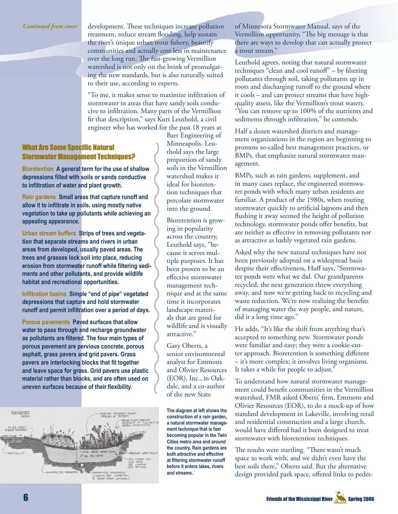development. These techniques increase pollution treatment, reduce stream flooding, help sustain the river's unique urban trout fishery, beautify communities and actually cost less in maintenance over the long run. The fast-growing Vermillion watershed is not only on the brink of promulgating the new standards, but is also naturally suited to their use, according to experts.

"To me, it makes sense to maximize infiltration of stormwater in areas that have sandy soils conducive to infiltration. Many parts of the Vermillion fit that description," says Kurt Leuthold, a civil engineer who has worked for the past 18 years at

#### **What Are Some Specific Natural** Stormwater Management Techniques?

**Bioretention A general term for the use of shallow depressions filled with soils or sands conductive to infiltration of water and plant growth.**

**Rain gardens Small areas that capture runoff and allow it to infiltrate in soils, using mostly native vegetation to take up pollutants while achieving an appealing appearance.**

**Urban stream buffers Strips of trees and vegetation that separate streams and rivers in urban areas from developed, usually paved areas. The trees and grasses lock soil into place, reducing erosion from stormwater runoff while filtering sediments and other pollutants, and provide wildlife habitat and recreational opportunities.**

**Infiltration basins Simple "end of pipe" vegetated depressions that capture and hold stormwater runoff and permit infiltration over a period of days.**

**Porous pavements Paved surfaces that allow water to pass through and recharge groundwater as pollutants are filtered. The four main types of porous pavement are pervious concrete, porous asphalt, grass pavers and grid pavers. Grass pavers are interlocking blocks that fit together and leave space for grass. Grid pavers use plastic material rather than blocks, and are often used on uneven surfaces because of their flexibility.**



Barr Engineering of Minneapolis. Leuthold says the large proportion of sandy soils in the Vermillion watershed makes it ideal for bioretention techniques that percolate stormwater into the ground.

Bioretention is growing in popularity across the country, Leuthold says, "because it serves multiple purposes. It has been proven to be an effective stormwater management technique and at the same time it incorporates landscape materials that are good for wildlife and is visually attractive."

Gary Oberts, a senior environmental analyst for Emmons and Olivier Resources (EOR), Inc., in Oakdale, and a co-author of the new State

**The diagram at left shows the construction of a rain garden, a natural stormwater management technique that is fast becoming popular in the Twin Cities metro area and around the country. Rain gardens are both attractive and effective at filtering stormwater runoff before it enters lakes, rivers and streams.**

of Minnesota Stormwater Manual, says of the Vermillion opportunity, "The big message is that there are ways to develop that can actually protect a trout stream."

Leuthold agrees, noting that natural stormwater techniques "clean and cool runoff"  $-$  by filtering pollutants through soil, taking pollutants up in roots and discharging runoff to the ground where it cools – and can protect streams that have highquality assets, like the Vermillion's trout waters. "You can remove up to 100% of the nutrients and sediments through infiltration," he contends.

Half a dozen watershed districts and management organizations in the region are beginning to promote so-called best management practices, or BMPs, that emphasize natural stormwater management.

BMPs, such as rain gardens, supplement, and in many cases replace, the engineered stormwater ponds with which many urban residents are familiar. A product of the 1980s, when routing stormwater quickly to artificial lagoons and then flushing it away seemed the height of pollution technology, stormwater ponds offer benefits, but are neither as effective in removing pollutants nor as attractive as lushly vegetated rain gardens.

Asked why the new natural techniques have not been previously adopted on a widespread basis despite their effectiveness, Huff says, "Stormwater ponds were what we did. Our grandparents recycled, the next generation threw everything away, and now we're getting back to recycling and waste reduction. We're now realizing the benefits of managing water the way people, and nature, did it a long time ago."

He adds, "It's like the shift from anything that's accepted to something new. Stormwater ponds were familiar and easy; they were a cookie-cutter approach. Bioretention is something different – it's more complex; it involves living organisms. It takes a while for people to adjust."

To understand how natural stormwater management could benefit communities in the Vermillion watershed, FMR asked Oberts' firm, Emmons and Olivier Resources (EOR), to do a mock-up of how standard development in Lakeville, involving retail and residential construction and a large church, would have differed had it been designed to treat stormwater with bioretention techniques.

The results were startling. "There wasn't much space to work with, and we didn't even have the best soils there," Oberts said. But the alternative design provided park space, offered links to pedes-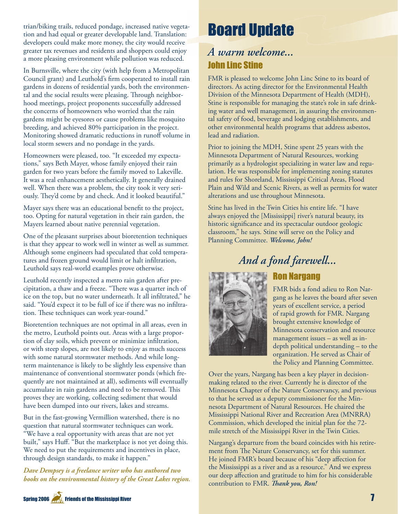trian/biking trails, reduced pondage, increased native vegetation and had equal or greater developable land. Translation: developers could make more money, the city would receive greater tax revenues and residents and shoppers could enjoy a more pleasing environment while pollution was reduced.

In Burnsville, where the city (with help from a Metropolitan Council grant) and Leuthold's firm cooperated to install rain gardens in dozens of residential yards, both the environmental and the social results were pleasing. Through neighborhood meetings, project proponents successfully addressed the concerns of homeowners who worried that the rain gardens might be eyesores or cause problems like mosquito breeding, and achieved 80% participation in the project. Monitoring showed dramatic reductions in runoff volume in local storm sewers and no pondage in the yards.

Homeowners were pleased, too. "It exceeded my expectations," says Beth Mayer, whose family enjoyed their rain garden for two years before the family moved to Lakeville. It was a real enhancement aesthetically. It generally drained well. When there was a problem, the city took it very seriously. They'd come by and check. And it looked beautiful."

Mayer says there was an educational benefit to the project, too. Opting for natural vegetation in their rain garden, the Mayers learned about native perennial vegetation.

One of the pleasant surprises about bioretention techniques is that they appear to work well in winter as well as summer. Although some engineers had speculated that cold temperatures and frozen ground would limit or halt infiltration, Leuthold says real-world examples prove otherwise.

Leuthold recently inspected a metro rain garden after precipitation, a thaw and a freeze. "There was a quarter inch of ice on the top, but no water underneath. It all infiltrated," he said. "You'd expect it to be full of ice if there was no infiltration. These techniques can work year-round."

Bioretention techniques are not optimal in all areas, even in the metro, Leuthold points out. Areas with a large proportion of clay soils, which prevent or minimize infiltration, or with steep slopes, are not likely to enjoy as much success with some natural stormwater methods. And while longterm maintenance is likely to be slightly less expensive than maintenance of conventional stormwater ponds (which frequently are not maintained at all), sediments will eventually accumulate in rain gardens and need to be removed. This proves they are working, collecting sediment that would have been dumped into our rivers, lakes and streams.

But in the fast-growing Vermillion watershed, there is no question that natural stormwater techniques can work. "We have a real opportunity with areas that are not yet built," says Huff. "But the marketplace is not yet doing this. We need to put the requirements and incentives in place, through design standards, to make it happen."

*Dave Dempsey is a freelance writer who has authored two books on the environmental history of the Great Lakes region.*

### Board Update

#### *A warm welcome...* John Linc Stine

FMR is pleased to welcome John Linc Stine to its board of directors. As acting director for the Environmental Health Division of the Minnesota Department of Health (MDH), Stine is responsible for managing the state's role in safe drinking water and well management, in assuring the environmental safety of food, beverage and lodging establishments, and other environmental health programs that address asbestos, lead and radiation.

Prior to joining the MDH, Stine spent 25 years with the Minnesota Department of Natural Resources, working primarily as a hydrologist specializing in water law and regulation. He was responsible for implementing zoning statutes and rules for Shoreland, Mississippi Critical Areas, Flood Plain and Wild and Scenic Rivers, as well as permits for water alterations and use throughout Minnesota.

Stine has lived in the Twin Cities his entire life. "I have always enjoyed the [Mississippi] river's natural beauty, its historic significance and its spectacular outdoor geologic classroom," he says. Stine will serve on the Policy and Planning Committee. *Welcome, John!*

### *And a fond farewell...*

Ron Nargang



FMR bids a fond adieu to Ron Nargang as he leaves the board after seven years of excellent service, a period of rapid growth for FMR. Nargang brought extensive knowledge of Minnesota conservation and resource management issues – as well as indepth political understanding – to the organization. He served as Chair of the Policy and Planning Committee.

Over the years, Nargang has been a key player in decisionmaking related to the river. Currently he is director of the Minnesota Chapter of the Nature Conservancy, and previous to that he served as a deputy commissioner for the Minnesota Department of Natural Resources. He chaired the Mississippi National River and Recreation Area (MNRRA) Commission, which developed the initial plan for the 72 mile stretch of the Mississippi River in the Twin Cities.

Nargang's departure from the board coincides with his retirement from The Nature Conservancy, set for this summer. He joined FMR's board because of his "deep affection for the Mississippi as a river and as a resource." And we express our deep affection and gratitude to him for his considerable contribution to FMR. *Thank you*, Ron!